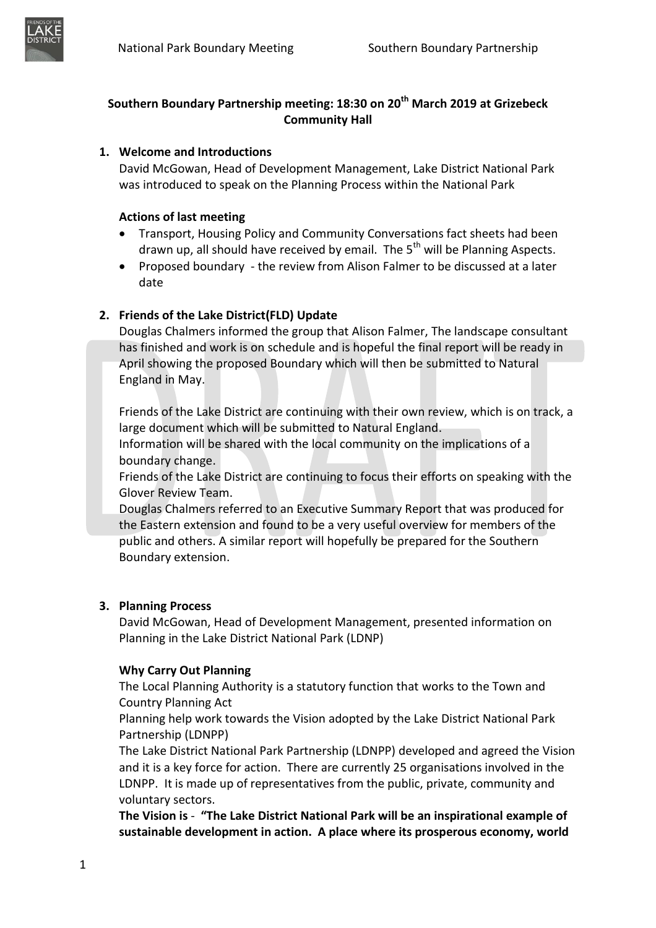

# **Southern Boundary Partnership meeting: 18:30 on 20th March 2019 at Grizebeck Community Hall**

# **1. Welcome and Introductions**

David McGowan, Head of Development Management, Lake District National Park was introduced to speak on the Planning Process within the National Park

### **Actions of last meeting**

- Transport, Housing Policy and Community Conversations fact sheets had been drawn up, all should have received by email. The  $5<sup>th</sup>$  will be Planning Aspects.
- Proposed boundary the review from Alison Falmer to be discussed at a later date

# **2. Friends of the Lake District(FLD) Update**

Douglas Chalmers informed the group that Alison Falmer, The landscape consultant has finished and work is on schedule and is hopeful the final report will be ready in April showing the proposed Boundary which will then be submitted to Natural England in May.

Friends of the Lake District are continuing with their own review, which is on track, a large document which will be submitted to Natural England.

Information will be shared with the local community on the implications of a boundary change.

Friends of the Lake District are continuing to focus their efforts on speaking with the Glover Review Team.

Douglas Chalmers referred to an Executive Summary Report that was produced for the Eastern extension and found to be a very useful overview for members of the public and others. A similar report will hopefully be prepared for the Southern Boundary extension.

## **3. Planning Process**

David McGowan, Head of Development Management, presented information on Planning in the Lake District National Park (LDNP)

## **Why Carry Out Planning**

The Local Planning Authority is a statutory function that works to the Town and Country Planning Act

Planning help work towards the Vision adopted by the Lake District National Park Partnership (LDNPP)

The Lake District National Park Partnership (LDNPP) developed and agreed the Vision and it is a key force for action. There are currently 25 organisations involved in the LDNPP. It is made up of representatives from the public, private, community and voluntary sectors.

**The Vision is** - **"The Lake District National Park will be an inspirational example of sustainable development in action. A place where its prosperous economy, world**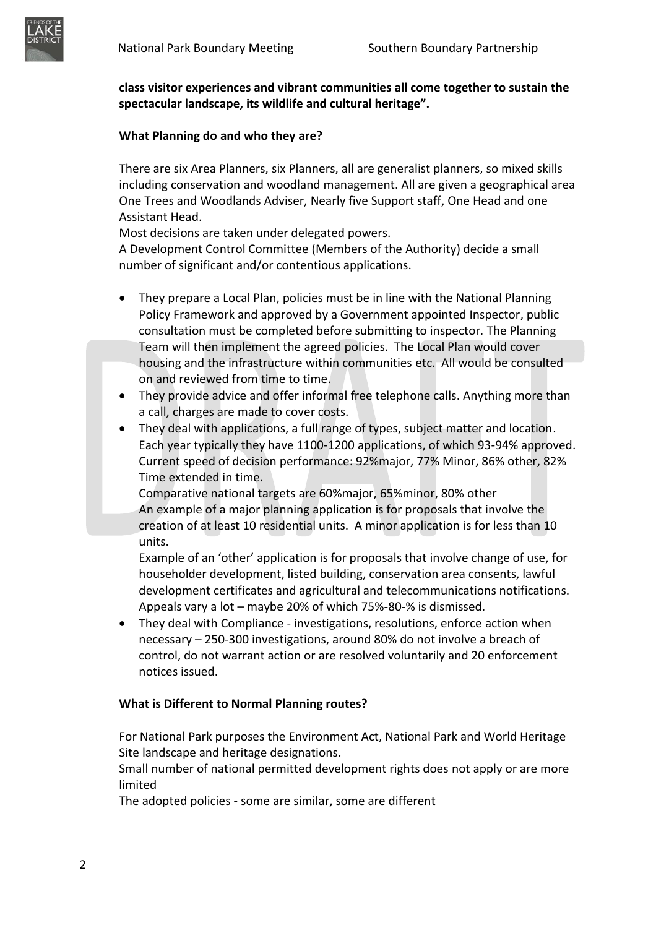

**class visitor experiences and vibrant communities all come together to sustain the spectacular landscape, its wildlife and cultural heritage".**

### **What Planning do and who they are?**

There are six Area Planners, six Planners, all are generalist planners, so mixed skills including conservation and woodland management. All are given a geographical area One Trees and Woodlands Adviser, Nearly five Support staff, One Head and one Assistant Head.

Most decisions are taken under delegated powers.

A Development Control Committee (Members of the Authority) decide a small number of significant and/or contentious applications.

- They prepare a Local Plan, policies must be in line with the National Planning Policy Framework and approved by a Government appointed Inspector, public consultation must be completed before submitting to inspector. The Planning Team will then implement the agreed policies. The Local Plan would cover housing and the infrastructure within communities etc. All would be consulted on and reviewed from time to time.
- They provide advice and offer informal free telephone calls. Anything more than a call, charges are made to cover costs.
- They deal with applications, a full range of types, subject matter and location. Each year typically they have 1100-1200 applications, of which 93-94% approved. Current speed of decision performance: 92%major, 77% Minor, 86% other, 82% Time extended in time.

Comparative national targets are 60%major, 65%minor, 80% other An example of a major planning application is for proposals that involve the creation of at least 10 residential units. A minor application is for less than 10 units.

Example of an 'other' application is for proposals that involve change of use, for householder development, listed building, conservation area consents, lawful development certificates and agricultural and telecommunications notifications. Appeals vary a lot – maybe 20% of which 75%-80-% is dismissed.

 They deal with Compliance - investigations, resolutions, enforce action when necessary – 250-300 investigations, around 80% do not involve a breach of control, do not warrant action or are resolved voluntarily and 20 enforcement notices issued.

#### **What is Different to Normal Planning routes?**

For National Park purposes the Environment Act, National Park and World Heritage Site landscape and heritage designations.

Small number of national permitted development rights does not apply or are more limited

The adopted policies - some are similar, some are different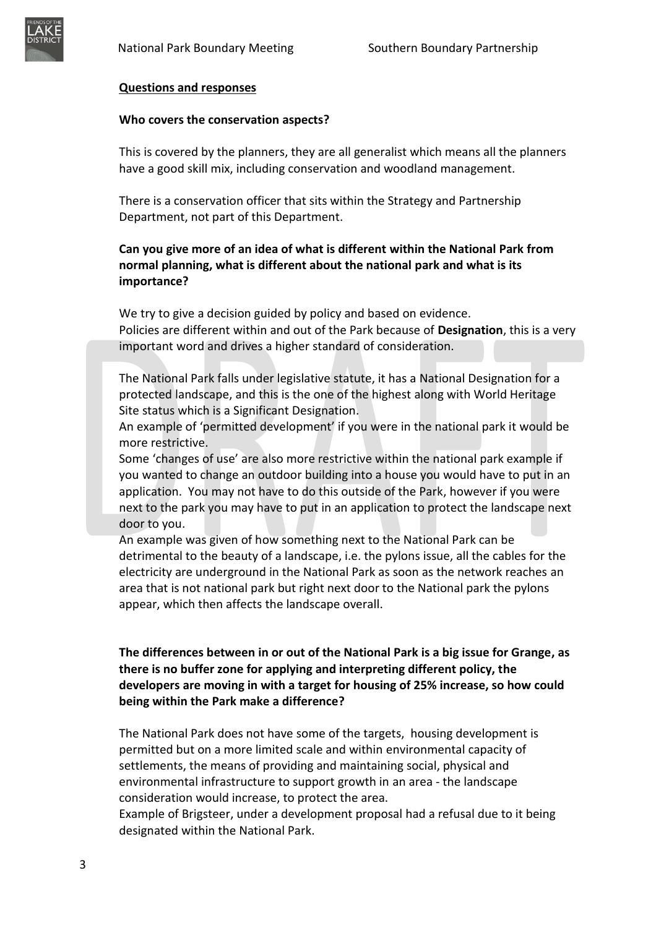

#### **Questions and responses**

#### **Who covers the conservation aspects?**

This is covered by the planners, they are all generalist which means all the planners have a good skill mix, including conservation and woodland management.

There is a conservation officer that sits within the Strategy and Partnership Department, not part of this Department.

## **Can you give more of an idea of what is different within the National Park from normal planning, what is different about the national park and what is its importance?**

We try to give a decision guided by policy and based on evidence. Policies are different within and out of the Park because of **Designation**, this is a very important word and drives a higher standard of consideration.

The National Park falls under legislative statute, it has a National Designation for a protected landscape, and this is the one of the highest along with World Heritage Site status which is a Significant Designation.

An example of 'permitted development' if you were in the national park it would be more restrictive.

Some 'changes of use' are also more restrictive within the national park example if you wanted to change an outdoor building into a house you would have to put in an application. You may not have to do this outside of the Park, however if you were next to the park you may have to put in an application to protect the landscape next door to you.

An example was given of how something next to the National Park can be detrimental to the beauty of a landscape, i.e. the pylons issue, all the cables for the electricity are underground in the National Park as soon as the network reaches an area that is not national park but right next door to the National park the pylons appear, which then affects the landscape overall.

## **The differences between in or out of the National Park is a big issue for Grange, as there is no buffer zone for applying and interpreting different policy, the developers are moving in with a target for housing of 25% increase, so how could being within the Park make a difference?**

The National Park does not have some of the targets, housing development is permitted but on a more limited scale and within environmental capacity of settlements, the means of providing and maintaining social, physical and environmental infrastructure to support growth in an area - the landscape consideration would increase, to protect the area.

Example of Brigsteer, under a development proposal had a refusal due to it being designated within the National Park.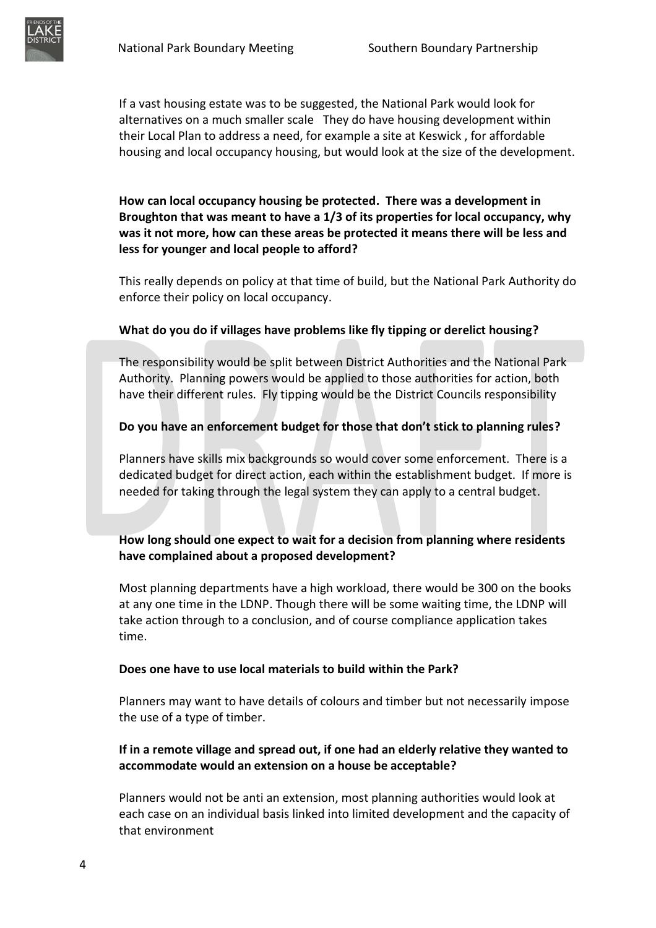If a vast housing estate was to be suggested, the National Park would look for alternatives on a much smaller scale They do have housing development within their Local Plan to address a need, for example a site at Keswick , for affordable housing and local occupancy housing, but would look at the size of the development.

**How can local occupancy housing be protected. There was a development in Broughton that was meant to have a 1/3 of its properties for local occupancy, why was it not more, how can these areas be protected it means there will be less and less for younger and local people to afford?**

This really depends on policy at that time of build, but the National Park Authority do enforce their policy on local occupancy.

#### **What do you do if villages have problems like fly tipping or derelict housing?**

The responsibility would be split between District Authorities and the National Park Authority. Planning powers would be applied to those authorities for action, both have their different rules. Fly tipping would be the District Councils responsibility

### **Do you have an enforcement budget for those that don't stick to planning rules?**

Planners have skills mix backgrounds so would cover some enforcement. There is a dedicated budget for direct action, each within the establishment budget. If more is needed for taking through the legal system they can apply to a central budget.

## **How long should one expect to wait for a decision from planning where residents have complained about a proposed development?**

Most planning departments have a high workload, there would be 300 on the books at any one time in the LDNP. Though there will be some waiting time, the LDNP will take action through to a conclusion, and of course compliance application takes time.

#### **Does one have to use local materials to build within the Park?**

Planners may want to have details of colours and timber but not necessarily impose the use of a type of timber.

# **If in a remote village and spread out, if one had an elderly relative they wanted to accommodate would an extension on a house be acceptable?**

Planners would not be anti an extension, most planning authorities would look at each case on an individual basis linked into limited development and the capacity of that environment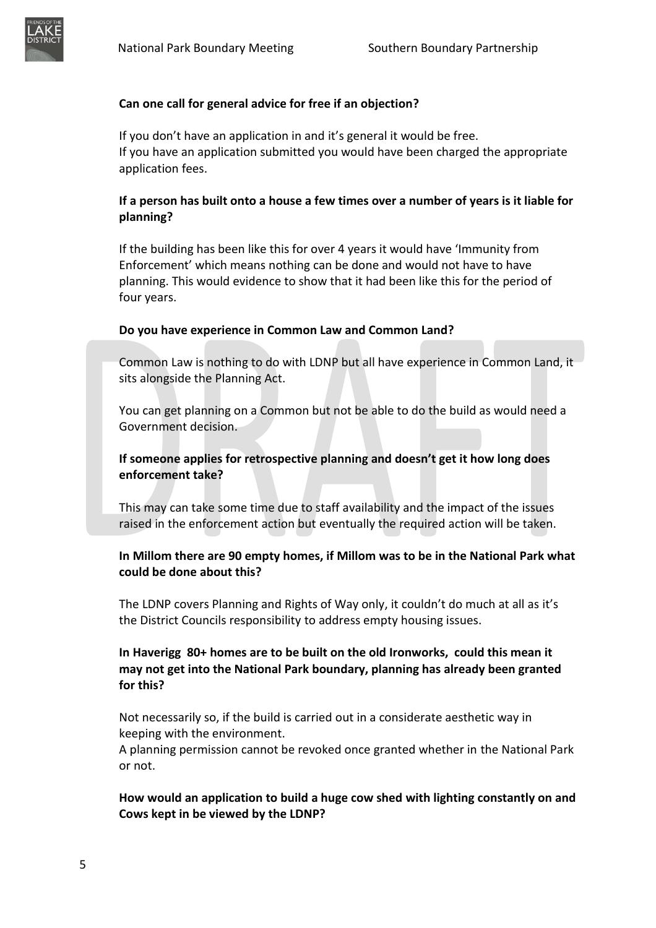

If you don't have an application in and it's general it would be free. If you have an application submitted you would have been charged the appropriate application fees.

# **If a person has built onto a house a few times over a number of years is it liable for planning?**

If the building has been like this for over 4 years it would have 'Immunity from Enforcement' which means nothing can be done and would not have to have planning. This would evidence to show that it had been like this for the period of four years.

### **Do you have experience in Common Law and Common Land?**

Common Law is nothing to do with LDNP but all have experience in Common Land, it sits alongside the Planning Act.

You can get planning on a Common but not be able to do the build as would need a Government decision.

## **If someone applies for retrospective planning and doesn't get it how long does enforcement take?**

This may can take some time due to staff availability and the impact of the issues raised in the enforcement action but eventually the required action will be taken.

## **In Millom there are 90 empty homes, if Millom was to be in the National Park what could be done about this?**

The LDNP covers Planning and Rights of Way only, it couldn't do much at all as it's the District Councils responsibility to address empty housing issues.

# **In Haverigg 80+ homes are to be built on the old Ironworks, could this mean it may not get into the National Park boundary, planning has already been granted for this?**

Not necessarily so, if the build is carried out in a considerate aesthetic way in keeping with the environment.

A planning permission cannot be revoked once granted whether in the National Park or not.

**How would an application to build a huge cow shed with lighting constantly on and Cows kept in be viewed by the LDNP?**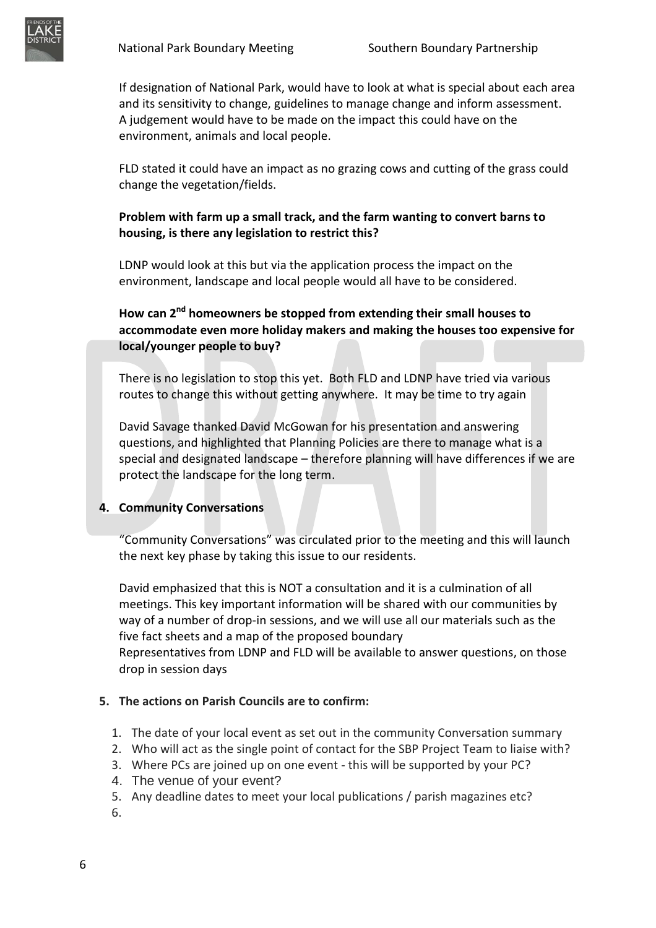If designation of National Park, would have to look at what is special about each area and its sensitivity to change, guidelines to manage change and inform assessment. A judgement would have to be made on the impact this could have on the environment, animals and local people.

FLD stated it could have an impact as no grazing cows and cutting of the grass could change the vegetation/fields.

### **Problem with farm up a small track, and the farm wanting to convert barns to housing, is there any legislation to restrict this?**

LDNP would look at this but via the application process the impact on the environment, landscape and local people would all have to be considered.

**How can 2nd homeowners be stopped from extending their small houses to accommodate even more holiday makers and making the houses too expensive for local/younger people to buy?**

There is no legislation to stop this yet. Both FLD and LDNP have tried via various routes to change this without getting anywhere. It may be time to try again

David Savage thanked David McGowan for his presentation and answering questions, and highlighted that Planning Policies are there to manage what is a special and designated landscape – therefore planning will have differences if we are protect the landscape for the long term.

#### **4. Community Conversations**

"Community Conversations" was circulated prior to the meeting and this will launch the next key phase by taking this issue to our residents.

David emphasized that this is NOT a consultation and it is a culmination of all meetings. This key important information will be shared with our communities by way of a number of drop-in sessions, and we will use all our materials such as the five fact sheets and a map of the proposed boundary Representatives from LDNP and FLD will be available to answer questions, on those drop in session days

#### **5. The actions on Parish Councils are to confirm:**

- 1. The date of your local event as set out in the community Conversation summary
- 2. Who will act as the single point of contact for the SBP Project Team to liaise with?
- 3. Where PCs are joined up on one event this will be supported by your PC?
- 4. The venue of your event?
- 5. Any deadline dates to meet your local publications / parish magazines etc?
- 6.